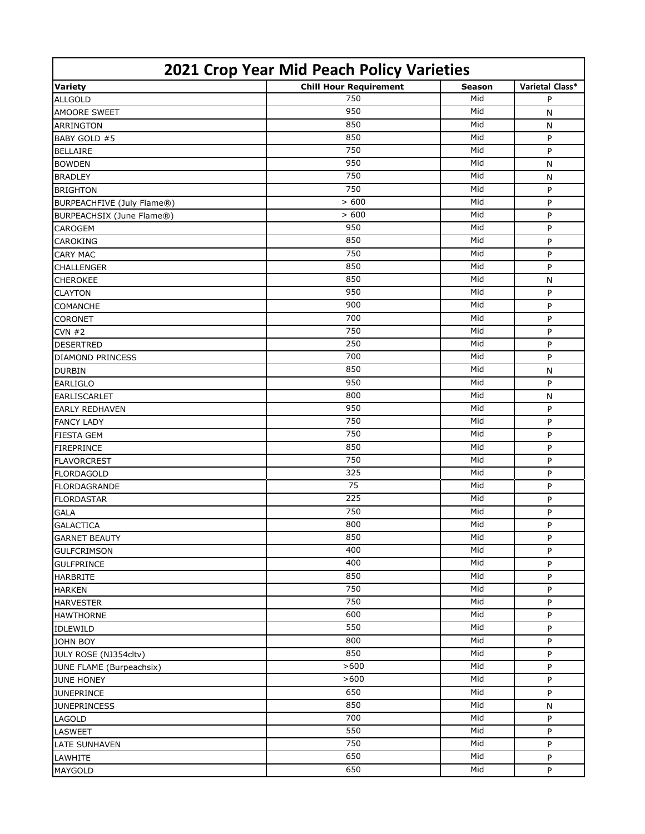| 2021 Crop Year Mid Peach Policy Varieties |                               |        |                 |  |
|-------------------------------------------|-------------------------------|--------|-----------------|--|
| <b>Variety</b>                            | <b>Chill Hour Requirement</b> | Season | Varietal Class* |  |
| <b>ALLGOLD</b>                            | 750                           | Mid    | P               |  |
| <b>AMOORE SWEET</b>                       | 950                           | Mid    | N               |  |
| <b>ARRINGTON</b>                          | 850                           | Mid    | N               |  |
| BABY GOLD #5                              | 850                           | Mid    | P               |  |
| <b>BELLAIRE</b>                           | 750                           | Mid    | P               |  |
| <b>BOWDEN</b>                             | 950                           | Mid    | N               |  |
| <b>BRADLEY</b>                            | 750                           | Mid    | N               |  |
| <b>BRIGHTON</b>                           | 750                           | Mid    | P               |  |
| BURPEACHFIVE (July Flame®)                | > 600                         | Mid    | P               |  |
| BURPEACHSIX (June Flame®)                 | > 600                         | Mid    | P               |  |
| <b>CAROGEM</b>                            | 950                           | Mid    | P               |  |
| <b>CAROKING</b>                           | 850                           | Mid    | P               |  |
| <b>CARY MAC</b>                           | 750                           | Mid    | P               |  |
| <b>CHALLENGER</b>                         | 850                           | Mid    | P               |  |
| <b>CHEROKEE</b>                           | 850                           | Mid    | N               |  |
| <b>CLAYTON</b>                            | 950                           | Mid    | P               |  |
| <b>COMANCHE</b>                           | 900                           | Mid    | P               |  |
| <b>CORONET</b>                            | 700                           | Mid    | P               |  |
| CVN #2                                    | 750                           | Mid    | P               |  |
| <b>DESERTRED</b>                          | 250                           | Mid    | P               |  |
| <b>DIAMOND PRINCESS</b>                   | 700                           | Mid    | P               |  |
| <b>DURBIN</b>                             | 850                           | Mid    | N               |  |
| <b>EARLIGLO</b>                           | 950                           | Mid    | P               |  |
| <b>EARLISCARLET</b>                       | 800                           | Mid    | N               |  |
| <b>EARLY REDHAVEN</b>                     | 950                           | Mid    | P               |  |
| <b>FANCY LADY</b>                         | 750                           | Mid    | P               |  |
| <b>FIESTA GEM</b>                         | 750                           | Mid    | P               |  |
| <b>FIREPRINCE</b>                         | 850                           | Mid    | P               |  |
| <b>FLAVORCREST</b>                        | 750                           | Mid    | P               |  |
| <b>FLORDAGOLD</b>                         | 325                           | Mid    | P               |  |
| <b>FLORDAGRANDE</b>                       | 75                            | Mid    | P               |  |
| <b>FLORDASTAR</b>                         | 225                           | Mid    | P               |  |
| <b>GALA</b>                               | 750                           | Mid    | P               |  |
| <b>GALACTICA</b>                          | 800                           | Mid    | P               |  |
| <b>GARNET BEAUTY</b>                      | 850                           | Mid    | P               |  |
| <b>GULFCRIMSON</b>                        | 400                           | Mid    | P               |  |
| <b>GULFPRINCE</b>                         | 400                           | Mid    | P               |  |
| <b>HARBRITE</b>                           | 850                           | Mid    | P               |  |
| <b>HARKEN</b>                             | 750                           | Mid    | P               |  |
| <b>HARVESTER</b>                          | 750                           | Mid    | P               |  |
| <b>HAWTHORNE</b>                          | 600                           | Mid    | P               |  |
| <b>IDLEWILD</b>                           | 550                           | Mid    | P               |  |
| <b>JOHN BOY</b>                           | 800                           | Mid    | P               |  |
| JULY ROSE (NJ354cltv)                     | 850                           | Mid    | P               |  |
| JUNE FLAME (Burpeachsix)                  | >600                          | Mid    | P               |  |
| <b>JUNE HONEY</b>                         | >600                          | Mid    | P               |  |
| <b>JUNEPRINCE</b>                         | 650                           | Mid    | P               |  |
| <b>JUNEPRINCESS</b>                       | 850                           | Mid    | N               |  |
| LAGOLD                                    | 700                           | Mid    | P               |  |
|                                           | 550                           | Mid    | P               |  |
| <b>LASWEET</b>                            | 750                           | Mid    |                 |  |
| <b>LATE SUNHAVEN</b>                      | 650                           | Mid    | P               |  |
| LAWHITE                                   |                               |        | P               |  |
| MAYGOLD                                   | 650                           | Mid    | P               |  |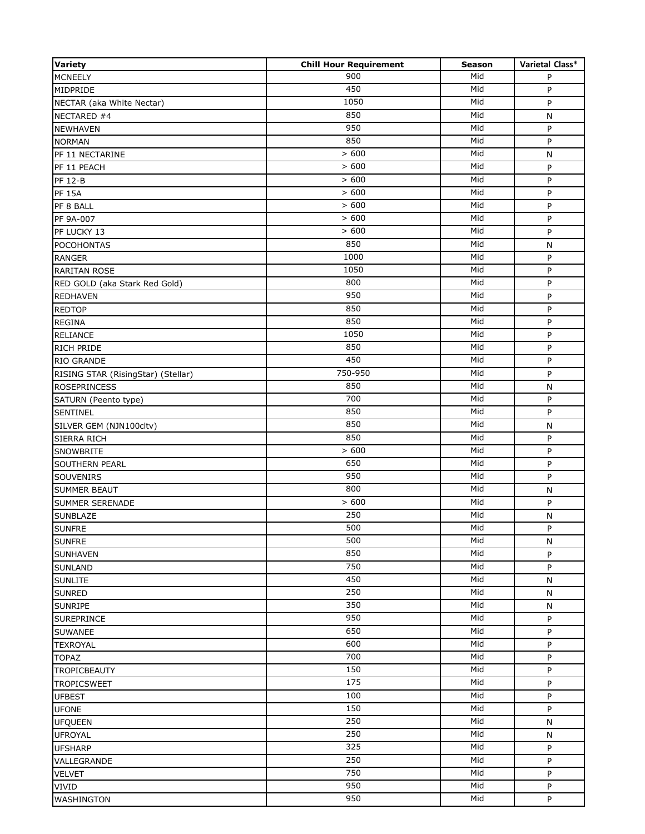| 900<br>Mid<br><b>MCNEELY</b><br>P<br>450<br>Mid<br>P<br>1050<br>Mid<br>P<br>NECTAR (aka White Nectar)<br>850<br>Mid<br>N<br>950<br>Mid<br>P<br>850<br>Mid<br>P<br>> 600<br>Mid<br>${\sf N}$<br>> 600<br>Mid<br>P<br>> 600<br>Mid<br>P<br>> 600<br>Mid<br>P<br><b>PF 15A</b><br>> 600<br>Mid<br>P<br>> 600<br>Mid<br>P<br>> 600<br>Mid<br>P<br>850<br>Mid<br>N<br>1000<br>Mid<br>P<br><b>RANGER</b><br>1050<br>Mid<br>P<br><b>RARITAN ROSE</b><br>800<br>Mid<br>P<br>RED GOLD (aka Stark Red Gold)<br>950<br>Mid<br>P<br><b>REDHAVEN</b><br>850<br>Mid<br><b>REDTOP</b><br>P<br>850<br>Mid<br>P<br><b>REGINA</b><br>1050<br>Mid<br>P<br><b>RELIANCE</b><br>850<br>Mid<br>P<br><b>RICH PRIDE</b><br>450<br>Mid<br>P<br>RIO GRANDE<br>750-950<br>Mid<br>P<br>RISING STAR (RisingStar) (Stellar)<br>850<br>Mid<br><b>ROSEPRINCESS</b><br>N<br>700<br>Mid<br>P<br>SATURN (Peento type)<br>850<br>Mid<br>P<br>SENTINEL<br>850<br>Mid<br>SILVER GEM (NJN100cltv)<br>N<br>850<br>Mid<br>P<br><b>SIERRA RICH</b><br>> 600<br>Mid<br>P<br><b>SNOWBRITE</b><br>650<br>Mid<br>$\sf P$<br><b>SOUTHERN PEARL</b><br>950<br>Mid<br>SOUVENIRS<br>P<br>800<br>Mid<br><b>SUMMER BEAUT</b><br>${\sf N}$<br>> 600<br>Mid<br>P<br><b>SUMMER SERENADE</b><br>250<br>Mid<br><b>SUNBLAZE</b><br>N<br><b>SUNFRE</b><br>500<br>Mid<br>P<br>500<br>Mid<br><b>SUNFRE</b><br>N<br>850<br>Mid<br><b>SUNHAVEN</b><br>P<br>750<br>Mid<br>P<br><b>SUNLAND</b><br>450<br>Mid<br>${\sf N}$<br><b>SUNLITE</b><br>250<br>Mid<br>N<br><b>SUNRED</b><br>350<br>Mid<br>${\sf N}$<br><b>SUNRIPE</b><br>950<br>Mid<br>P<br><b>SUREPRINCE</b><br>650<br>Mid<br>P<br><b>SUWANEE</b><br>600<br>Mid<br>P<br><b>TEXROYAL</b><br>700<br>Mid<br>P<br><b>TOPAZ</b><br>150<br>Mid<br>P<br><b>TROPICBEAUTY</b><br>175<br>Mid<br>P<br><b>TROPICSWEET</b><br>100<br>Mid<br>P<br><b>UFBEST</b><br>150<br>Mid<br>P<br><b>UFONE</b><br>250<br>Mid<br><b>UFQUEEN</b><br>N<br>250<br>Mid<br>N<br><b>UFROYAL</b><br>325<br>Mid<br>P<br><b>UFSHARP</b><br>250<br>Mid<br>P<br>VALLEGRANDE<br>750<br>Mid<br>P<br><b>VELVET</b><br>950<br>Mid<br>VIVID<br>P<br>950<br>Mid | <b>Variety</b>    | <b>Chill Hour Requirement</b> | <b>Season</b> | Varietal Class* |
|-----------------------------------------------------------------------------------------------------------------------------------------------------------------------------------------------------------------------------------------------------------------------------------------------------------------------------------------------------------------------------------------------------------------------------------------------------------------------------------------------------------------------------------------------------------------------------------------------------------------------------------------------------------------------------------------------------------------------------------------------------------------------------------------------------------------------------------------------------------------------------------------------------------------------------------------------------------------------------------------------------------------------------------------------------------------------------------------------------------------------------------------------------------------------------------------------------------------------------------------------------------------------------------------------------------------------------------------------------------------------------------------------------------------------------------------------------------------------------------------------------------------------------------------------------------------------------------------------------------------------------------------------------------------------------------------------------------------------------------------------------------------------------------------------------------------------------------------------------------------------------------------------------------------------------------------------------------------------------------------------------------------------------------------------------------------------------------------------------------|-------------------|-------------------------------|---------------|-----------------|
|                                                                                                                                                                                                                                                                                                                                                                                                                                                                                                                                                                                                                                                                                                                                                                                                                                                                                                                                                                                                                                                                                                                                                                                                                                                                                                                                                                                                                                                                                                                                                                                                                                                                                                                                                                                                                                                                                                                                                                                                                                                                                                           |                   |                               |               |                 |
|                                                                                                                                                                                                                                                                                                                                                                                                                                                                                                                                                                                                                                                                                                                                                                                                                                                                                                                                                                                                                                                                                                                                                                                                                                                                                                                                                                                                                                                                                                                                                                                                                                                                                                                                                                                                                                                                                                                                                                                                                                                                                                           | MIDPRIDE          |                               |               |                 |
|                                                                                                                                                                                                                                                                                                                                                                                                                                                                                                                                                                                                                                                                                                                                                                                                                                                                                                                                                                                                                                                                                                                                                                                                                                                                                                                                                                                                                                                                                                                                                                                                                                                                                                                                                                                                                                                                                                                                                                                                                                                                                                           |                   |                               |               |                 |
|                                                                                                                                                                                                                                                                                                                                                                                                                                                                                                                                                                                                                                                                                                                                                                                                                                                                                                                                                                                                                                                                                                                                                                                                                                                                                                                                                                                                                                                                                                                                                                                                                                                                                                                                                                                                                                                                                                                                                                                                                                                                                                           | NECTARED #4       |                               |               |                 |
|                                                                                                                                                                                                                                                                                                                                                                                                                                                                                                                                                                                                                                                                                                                                                                                                                                                                                                                                                                                                                                                                                                                                                                                                                                                                                                                                                                                                                                                                                                                                                                                                                                                                                                                                                                                                                                                                                                                                                                                                                                                                                                           | <b>NEWHAVEN</b>   |                               |               |                 |
|                                                                                                                                                                                                                                                                                                                                                                                                                                                                                                                                                                                                                                                                                                                                                                                                                                                                                                                                                                                                                                                                                                                                                                                                                                                                                                                                                                                                                                                                                                                                                                                                                                                                                                                                                                                                                                                                                                                                                                                                                                                                                                           | <b>NORMAN</b>     |                               |               |                 |
|                                                                                                                                                                                                                                                                                                                                                                                                                                                                                                                                                                                                                                                                                                                                                                                                                                                                                                                                                                                                                                                                                                                                                                                                                                                                                                                                                                                                                                                                                                                                                                                                                                                                                                                                                                                                                                                                                                                                                                                                                                                                                                           | PF 11 NECTARINE   |                               |               |                 |
|                                                                                                                                                                                                                                                                                                                                                                                                                                                                                                                                                                                                                                                                                                                                                                                                                                                                                                                                                                                                                                                                                                                                                                                                                                                                                                                                                                                                                                                                                                                                                                                                                                                                                                                                                                                                                                                                                                                                                                                                                                                                                                           | PF 11 PEACH       |                               |               |                 |
|                                                                                                                                                                                                                                                                                                                                                                                                                                                                                                                                                                                                                                                                                                                                                                                                                                                                                                                                                                                                                                                                                                                                                                                                                                                                                                                                                                                                                                                                                                                                                                                                                                                                                                                                                                                                                                                                                                                                                                                                                                                                                                           | <b>PF 12-B</b>    |                               |               |                 |
|                                                                                                                                                                                                                                                                                                                                                                                                                                                                                                                                                                                                                                                                                                                                                                                                                                                                                                                                                                                                                                                                                                                                                                                                                                                                                                                                                                                                                                                                                                                                                                                                                                                                                                                                                                                                                                                                                                                                                                                                                                                                                                           |                   |                               |               |                 |
|                                                                                                                                                                                                                                                                                                                                                                                                                                                                                                                                                                                                                                                                                                                                                                                                                                                                                                                                                                                                                                                                                                                                                                                                                                                                                                                                                                                                                                                                                                                                                                                                                                                                                                                                                                                                                                                                                                                                                                                                                                                                                                           | PF 8 BALL         |                               |               |                 |
|                                                                                                                                                                                                                                                                                                                                                                                                                                                                                                                                                                                                                                                                                                                                                                                                                                                                                                                                                                                                                                                                                                                                                                                                                                                                                                                                                                                                                                                                                                                                                                                                                                                                                                                                                                                                                                                                                                                                                                                                                                                                                                           | PF 9A-007         |                               |               |                 |
|                                                                                                                                                                                                                                                                                                                                                                                                                                                                                                                                                                                                                                                                                                                                                                                                                                                                                                                                                                                                                                                                                                                                                                                                                                                                                                                                                                                                                                                                                                                                                                                                                                                                                                                                                                                                                                                                                                                                                                                                                                                                                                           | PF LUCKY 13       |                               |               |                 |
|                                                                                                                                                                                                                                                                                                                                                                                                                                                                                                                                                                                                                                                                                                                                                                                                                                                                                                                                                                                                                                                                                                                                                                                                                                                                                                                                                                                                                                                                                                                                                                                                                                                                                                                                                                                                                                                                                                                                                                                                                                                                                                           | <b>POCOHONTAS</b> |                               |               |                 |
|                                                                                                                                                                                                                                                                                                                                                                                                                                                                                                                                                                                                                                                                                                                                                                                                                                                                                                                                                                                                                                                                                                                                                                                                                                                                                                                                                                                                                                                                                                                                                                                                                                                                                                                                                                                                                                                                                                                                                                                                                                                                                                           |                   |                               |               |                 |
|                                                                                                                                                                                                                                                                                                                                                                                                                                                                                                                                                                                                                                                                                                                                                                                                                                                                                                                                                                                                                                                                                                                                                                                                                                                                                                                                                                                                                                                                                                                                                                                                                                                                                                                                                                                                                                                                                                                                                                                                                                                                                                           |                   |                               |               |                 |
|                                                                                                                                                                                                                                                                                                                                                                                                                                                                                                                                                                                                                                                                                                                                                                                                                                                                                                                                                                                                                                                                                                                                                                                                                                                                                                                                                                                                                                                                                                                                                                                                                                                                                                                                                                                                                                                                                                                                                                                                                                                                                                           |                   |                               |               |                 |
|                                                                                                                                                                                                                                                                                                                                                                                                                                                                                                                                                                                                                                                                                                                                                                                                                                                                                                                                                                                                                                                                                                                                                                                                                                                                                                                                                                                                                                                                                                                                                                                                                                                                                                                                                                                                                                                                                                                                                                                                                                                                                                           |                   |                               |               |                 |
|                                                                                                                                                                                                                                                                                                                                                                                                                                                                                                                                                                                                                                                                                                                                                                                                                                                                                                                                                                                                                                                                                                                                                                                                                                                                                                                                                                                                                                                                                                                                                                                                                                                                                                                                                                                                                                                                                                                                                                                                                                                                                                           |                   |                               |               |                 |
|                                                                                                                                                                                                                                                                                                                                                                                                                                                                                                                                                                                                                                                                                                                                                                                                                                                                                                                                                                                                                                                                                                                                                                                                                                                                                                                                                                                                                                                                                                                                                                                                                                                                                                                                                                                                                                                                                                                                                                                                                                                                                                           |                   |                               |               |                 |
|                                                                                                                                                                                                                                                                                                                                                                                                                                                                                                                                                                                                                                                                                                                                                                                                                                                                                                                                                                                                                                                                                                                                                                                                                                                                                                                                                                                                                                                                                                                                                                                                                                                                                                                                                                                                                                                                                                                                                                                                                                                                                                           |                   |                               |               |                 |
|                                                                                                                                                                                                                                                                                                                                                                                                                                                                                                                                                                                                                                                                                                                                                                                                                                                                                                                                                                                                                                                                                                                                                                                                                                                                                                                                                                                                                                                                                                                                                                                                                                                                                                                                                                                                                                                                                                                                                                                                                                                                                                           |                   |                               |               |                 |
|                                                                                                                                                                                                                                                                                                                                                                                                                                                                                                                                                                                                                                                                                                                                                                                                                                                                                                                                                                                                                                                                                                                                                                                                                                                                                                                                                                                                                                                                                                                                                                                                                                                                                                                                                                                                                                                                                                                                                                                                                                                                                                           |                   |                               |               |                 |
|                                                                                                                                                                                                                                                                                                                                                                                                                                                                                                                                                                                                                                                                                                                                                                                                                                                                                                                                                                                                                                                                                                                                                                                                                                                                                                                                                                                                                                                                                                                                                                                                                                                                                                                                                                                                                                                                                                                                                                                                                                                                                                           |                   |                               |               |                 |
|                                                                                                                                                                                                                                                                                                                                                                                                                                                                                                                                                                                                                                                                                                                                                                                                                                                                                                                                                                                                                                                                                                                                                                                                                                                                                                                                                                                                                                                                                                                                                                                                                                                                                                                                                                                                                                                                                                                                                                                                                                                                                                           |                   |                               |               |                 |
|                                                                                                                                                                                                                                                                                                                                                                                                                                                                                                                                                                                                                                                                                                                                                                                                                                                                                                                                                                                                                                                                                                                                                                                                                                                                                                                                                                                                                                                                                                                                                                                                                                                                                                                                                                                                                                                                                                                                                                                                                                                                                                           |                   |                               |               |                 |
|                                                                                                                                                                                                                                                                                                                                                                                                                                                                                                                                                                                                                                                                                                                                                                                                                                                                                                                                                                                                                                                                                                                                                                                                                                                                                                                                                                                                                                                                                                                                                                                                                                                                                                                                                                                                                                                                                                                                                                                                                                                                                                           |                   |                               |               |                 |
|                                                                                                                                                                                                                                                                                                                                                                                                                                                                                                                                                                                                                                                                                                                                                                                                                                                                                                                                                                                                                                                                                                                                                                                                                                                                                                                                                                                                                                                                                                                                                                                                                                                                                                                                                                                                                                                                                                                                                                                                                                                                                                           |                   |                               |               |                 |
|                                                                                                                                                                                                                                                                                                                                                                                                                                                                                                                                                                                                                                                                                                                                                                                                                                                                                                                                                                                                                                                                                                                                                                                                                                                                                                                                                                                                                                                                                                                                                                                                                                                                                                                                                                                                                                                                                                                                                                                                                                                                                                           |                   |                               |               |                 |
|                                                                                                                                                                                                                                                                                                                                                                                                                                                                                                                                                                                                                                                                                                                                                                                                                                                                                                                                                                                                                                                                                                                                                                                                                                                                                                                                                                                                                                                                                                                                                                                                                                                                                                                                                                                                                                                                                                                                                                                                                                                                                                           |                   |                               |               |                 |
|                                                                                                                                                                                                                                                                                                                                                                                                                                                                                                                                                                                                                                                                                                                                                                                                                                                                                                                                                                                                                                                                                                                                                                                                                                                                                                                                                                                                                                                                                                                                                                                                                                                                                                                                                                                                                                                                                                                                                                                                                                                                                                           |                   |                               |               |                 |
|                                                                                                                                                                                                                                                                                                                                                                                                                                                                                                                                                                                                                                                                                                                                                                                                                                                                                                                                                                                                                                                                                                                                                                                                                                                                                                                                                                                                                                                                                                                                                                                                                                                                                                                                                                                                                                                                                                                                                                                                                                                                                                           |                   |                               |               |                 |
|                                                                                                                                                                                                                                                                                                                                                                                                                                                                                                                                                                                                                                                                                                                                                                                                                                                                                                                                                                                                                                                                                                                                                                                                                                                                                                                                                                                                                                                                                                                                                                                                                                                                                                                                                                                                                                                                                                                                                                                                                                                                                                           |                   |                               |               |                 |
|                                                                                                                                                                                                                                                                                                                                                                                                                                                                                                                                                                                                                                                                                                                                                                                                                                                                                                                                                                                                                                                                                                                                                                                                                                                                                                                                                                                                                                                                                                                                                                                                                                                                                                                                                                                                                                                                                                                                                                                                                                                                                                           |                   |                               |               |                 |
|                                                                                                                                                                                                                                                                                                                                                                                                                                                                                                                                                                                                                                                                                                                                                                                                                                                                                                                                                                                                                                                                                                                                                                                                                                                                                                                                                                                                                                                                                                                                                                                                                                                                                                                                                                                                                                                                                                                                                                                                                                                                                                           |                   |                               |               |                 |
|                                                                                                                                                                                                                                                                                                                                                                                                                                                                                                                                                                                                                                                                                                                                                                                                                                                                                                                                                                                                                                                                                                                                                                                                                                                                                                                                                                                                                                                                                                                                                                                                                                                                                                                                                                                                                                                                                                                                                                                                                                                                                                           |                   |                               |               |                 |
|                                                                                                                                                                                                                                                                                                                                                                                                                                                                                                                                                                                                                                                                                                                                                                                                                                                                                                                                                                                                                                                                                                                                                                                                                                                                                                                                                                                                                                                                                                                                                                                                                                                                                                                                                                                                                                                                                                                                                                                                                                                                                                           |                   |                               |               |                 |
|                                                                                                                                                                                                                                                                                                                                                                                                                                                                                                                                                                                                                                                                                                                                                                                                                                                                                                                                                                                                                                                                                                                                                                                                                                                                                                                                                                                                                                                                                                                                                                                                                                                                                                                                                                                                                                                                                                                                                                                                                                                                                                           |                   |                               |               |                 |
|                                                                                                                                                                                                                                                                                                                                                                                                                                                                                                                                                                                                                                                                                                                                                                                                                                                                                                                                                                                                                                                                                                                                                                                                                                                                                                                                                                                                                                                                                                                                                                                                                                                                                                                                                                                                                                                                                                                                                                                                                                                                                                           |                   |                               |               |                 |
|                                                                                                                                                                                                                                                                                                                                                                                                                                                                                                                                                                                                                                                                                                                                                                                                                                                                                                                                                                                                                                                                                                                                                                                                                                                                                                                                                                                                                                                                                                                                                                                                                                                                                                                                                                                                                                                                                                                                                                                                                                                                                                           |                   |                               |               |                 |
|                                                                                                                                                                                                                                                                                                                                                                                                                                                                                                                                                                                                                                                                                                                                                                                                                                                                                                                                                                                                                                                                                                                                                                                                                                                                                                                                                                                                                                                                                                                                                                                                                                                                                                                                                                                                                                                                                                                                                                                                                                                                                                           |                   |                               |               |                 |
|                                                                                                                                                                                                                                                                                                                                                                                                                                                                                                                                                                                                                                                                                                                                                                                                                                                                                                                                                                                                                                                                                                                                                                                                                                                                                                                                                                                                                                                                                                                                                                                                                                                                                                                                                                                                                                                                                                                                                                                                                                                                                                           |                   |                               |               |                 |
|                                                                                                                                                                                                                                                                                                                                                                                                                                                                                                                                                                                                                                                                                                                                                                                                                                                                                                                                                                                                                                                                                                                                                                                                                                                                                                                                                                                                                                                                                                                                                                                                                                                                                                                                                                                                                                                                                                                                                                                                                                                                                                           |                   |                               |               |                 |
|                                                                                                                                                                                                                                                                                                                                                                                                                                                                                                                                                                                                                                                                                                                                                                                                                                                                                                                                                                                                                                                                                                                                                                                                                                                                                                                                                                                                                                                                                                                                                                                                                                                                                                                                                                                                                                                                                                                                                                                                                                                                                                           |                   |                               |               |                 |
|                                                                                                                                                                                                                                                                                                                                                                                                                                                                                                                                                                                                                                                                                                                                                                                                                                                                                                                                                                                                                                                                                                                                                                                                                                                                                                                                                                                                                                                                                                                                                                                                                                                                                                                                                                                                                                                                                                                                                                                                                                                                                                           |                   |                               |               |                 |
|                                                                                                                                                                                                                                                                                                                                                                                                                                                                                                                                                                                                                                                                                                                                                                                                                                                                                                                                                                                                                                                                                                                                                                                                                                                                                                                                                                                                                                                                                                                                                                                                                                                                                                                                                                                                                                                                                                                                                                                                                                                                                                           |                   |                               |               |                 |
|                                                                                                                                                                                                                                                                                                                                                                                                                                                                                                                                                                                                                                                                                                                                                                                                                                                                                                                                                                                                                                                                                                                                                                                                                                                                                                                                                                                                                                                                                                                                                                                                                                                                                                                                                                                                                                                                                                                                                                                                                                                                                                           |                   |                               |               |                 |
|                                                                                                                                                                                                                                                                                                                                                                                                                                                                                                                                                                                                                                                                                                                                                                                                                                                                                                                                                                                                                                                                                                                                                                                                                                                                                                                                                                                                                                                                                                                                                                                                                                                                                                                                                                                                                                                                                                                                                                                                                                                                                                           |                   |                               |               |                 |
|                                                                                                                                                                                                                                                                                                                                                                                                                                                                                                                                                                                                                                                                                                                                                                                                                                                                                                                                                                                                                                                                                                                                                                                                                                                                                                                                                                                                                                                                                                                                                                                                                                                                                                                                                                                                                                                                                                                                                                                                                                                                                                           |                   |                               |               |                 |
|                                                                                                                                                                                                                                                                                                                                                                                                                                                                                                                                                                                                                                                                                                                                                                                                                                                                                                                                                                                                                                                                                                                                                                                                                                                                                                                                                                                                                                                                                                                                                                                                                                                                                                                                                                                                                                                                                                                                                                                                                                                                                                           |                   |                               |               |                 |
|                                                                                                                                                                                                                                                                                                                                                                                                                                                                                                                                                                                                                                                                                                                                                                                                                                                                                                                                                                                                                                                                                                                                                                                                                                                                                                                                                                                                                                                                                                                                                                                                                                                                                                                                                                                                                                                                                                                                                                                                                                                                                                           |                   |                               |               |                 |
|                                                                                                                                                                                                                                                                                                                                                                                                                                                                                                                                                                                                                                                                                                                                                                                                                                                                                                                                                                                                                                                                                                                                                                                                                                                                                                                                                                                                                                                                                                                                                                                                                                                                                                                                                                                                                                                                                                                                                                                                                                                                                                           |                   |                               |               |                 |
|                                                                                                                                                                                                                                                                                                                                                                                                                                                                                                                                                                                                                                                                                                                                                                                                                                                                                                                                                                                                                                                                                                                                                                                                                                                                                                                                                                                                                                                                                                                                                                                                                                                                                                                                                                                                                                                                                                                                                                                                                                                                                                           |                   |                               |               |                 |
|                                                                                                                                                                                                                                                                                                                                                                                                                                                                                                                                                                                                                                                                                                                                                                                                                                                                                                                                                                                                                                                                                                                                                                                                                                                                                                                                                                                                                                                                                                                                                                                                                                                                                                                                                                                                                                                                                                                                                                                                                                                                                                           |                   |                               |               |                 |
|                                                                                                                                                                                                                                                                                                                                                                                                                                                                                                                                                                                                                                                                                                                                                                                                                                                                                                                                                                                                                                                                                                                                                                                                                                                                                                                                                                                                                                                                                                                                                                                                                                                                                                                                                                                                                                                                                                                                                                                                                                                                                                           |                   |                               |               |                 |
|                                                                                                                                                                                                                                                                                                                                                                                                                                                                                                                                                                                                                                                                                                                                                                                                                                                                                                                                                                                                                                                                                                                                                                                                                                                                                                                                                                                                                                                                                                                                                                                                                                                                                                                                                                                                                                                                                                                                                                                                                                                                                                           |                   |                               |               |                 |
|                                                                                                                                                                                                                                                                                                                                                                                                                                                                                                                                                                                                                                                                                                                                                                                                                                                                                                                                                                                                                                                                                                                                                                                                                                                                                                                                                                                                                                                                                                                                                                                                                                                                                                                                                                                                                                                                                                                                                                                                                                                                                                           | WASHINGTON        |                               |               | P               |